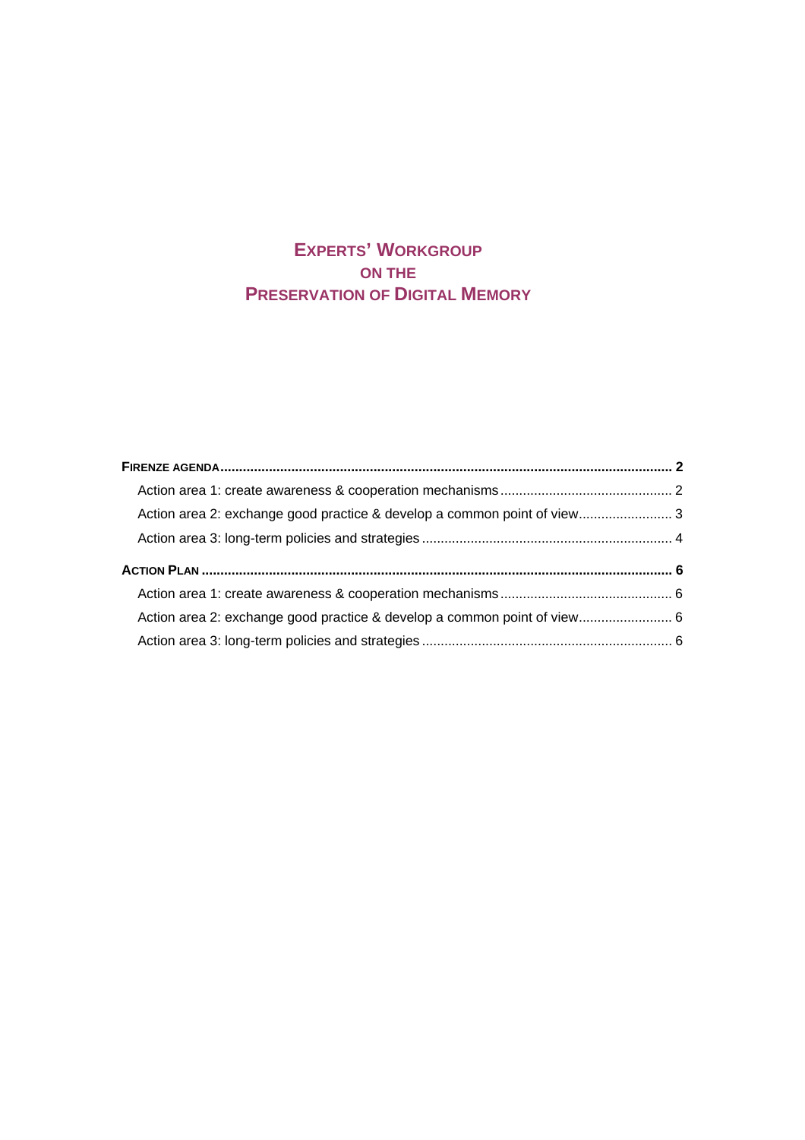# **EXPERTS' WORKGROUP ON THE PRESERVATION OF DIGITAL MEMORY**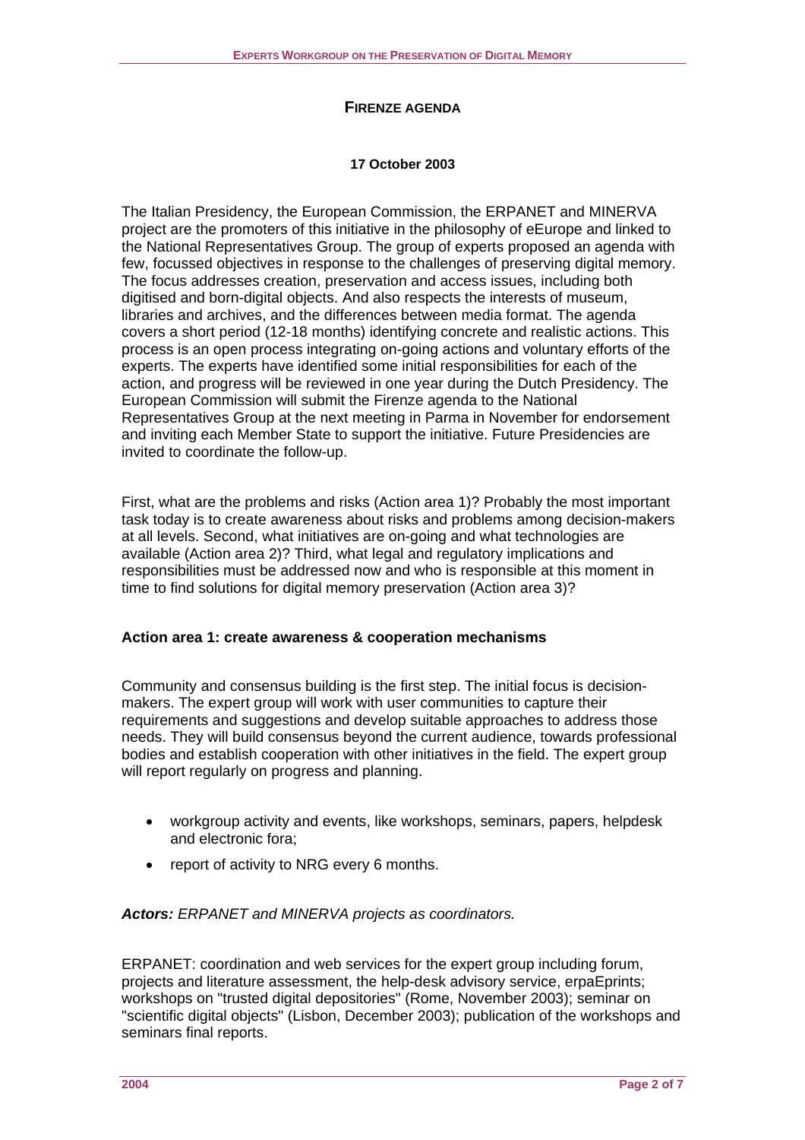# **FIRENZE AGENDA**

#### **17 October 2003**

<span id="page-1-0"></span>The Italian Presidency, the European Commission, the ERPANET and MINERVA project are the promoters of this initiative in the philosophy of eEurope and linked to the National Representatives Group. The group of experts proposed an agenda with few, focussed objectives in response to the challenges of preserving digital memory. The focus addresses creation, preservation and access issues, including both digitised and born-digital objects. And also respects the interests of museum, libraries and archives, and the differences between media format. The agenda covers a short period (12-18 months) identifying concrete and realistic actions. This process is an open process integrating on-going actions and voluntary efforts of the experts. The experts have identified some initial responsibilities for each of the action, and progress will be reviewed in one year during the Dutch Presidency. The European Commission will submit the Firenze agenda to the National Representatives Group at the next meeting in Parma in November for endorsement and inviting each Member State to support the initiative. Future Presidencies are invited to coordinate the follow-up.

First, what are the problems and risks (Action area 1)? Probably the most important task today is to create awareness about risks and problems among decision-makers at all levels. Second, what initiatives are on-going and what technologies are available (Action area 2)? Third, what legal and regulatory implications and responsibilities must be addressed now and who is responsible at this moment in time to find solutions for digital memory preservation (Action area 3)?

# **Action area 1: create awareness & cooperation mechanisms**

Community and consensus building is the first step. The initial focus is decisionmakers. The expert group will work with user communities to capture their requirements and suggestions and develop suitable approaches to address those needs. They will build consensus beyond the current audience, towards professional bodies and establish cooperation with other initiatives in the field. The expert group will report regularly on progress and planning.

- workgroup activity and events, like workshops, seminars, papers, helpdesk and electronic fora;
- report of activity to NRG every 6 months.

# *Actors: ERPANET and MINERVA projects as coordinators.*

ERPANET: coordination and web services for the expert group including forum, projects and literature assessment, the help-desk advisory service, erpaEprints; workshops on "trusted digital depositories" (Rome, November 2003); seminar on "scientific digital objects" (Lisbon, December 2003); publication of the workshops and seminars final reports.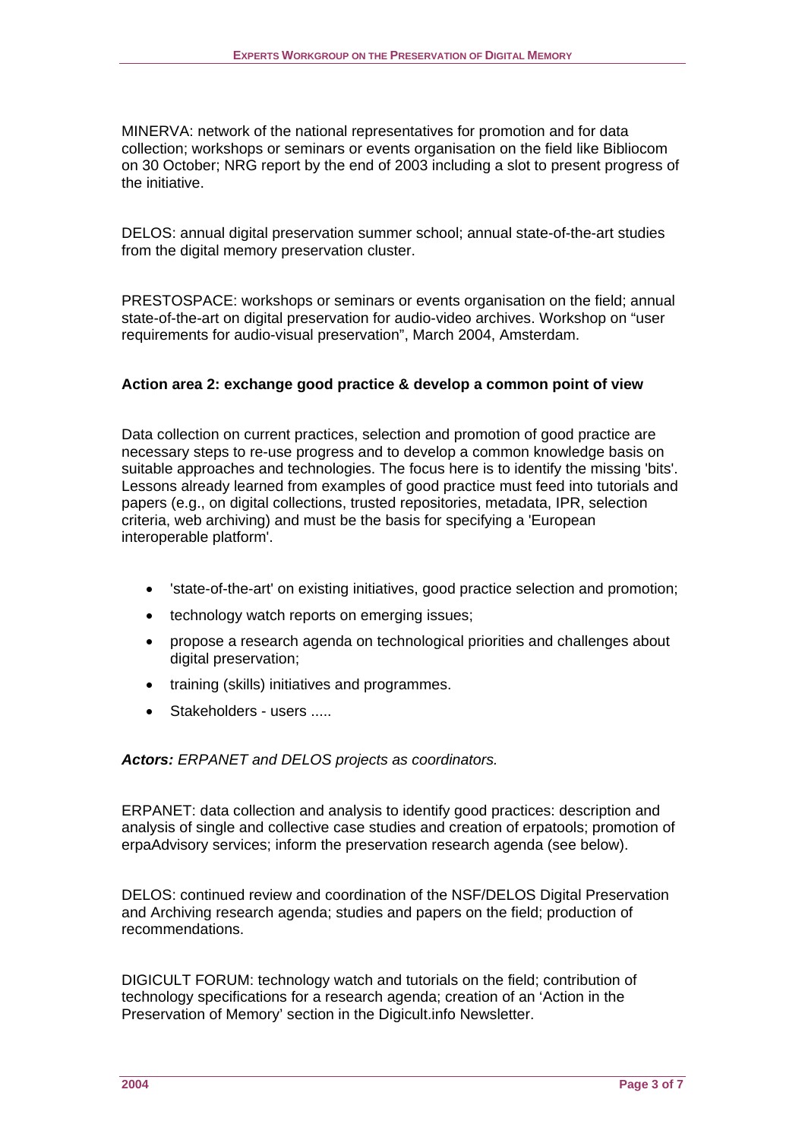<span id="page-2-0"></span>MINERVA: network of the national representatives for promotion and for data collection; workshops or seminars or events organisation on the field like Bibliocom on 30 October; NRG report by the end of 2003 including a slot to present progress of the initiative.

DELOS: annual digital preservation summer school; annual state-of-the-art studies from the digital memory preservation cluster.

PRESTOSPACE: workshops or seminars or events organisation on the field; annual state-of-the-art on digital preservation for audio-video archives. Workshop on "user requirements for audio-visual preservation", March 2004, Amsterdam.

# **Action area 2: exchange good practice & develop a common point of view**

Data collection on current practices, selection and promotion of good practice are necessary steps to re-use progress and to develop a common knowledge basis on suitable approaches and technologies. The focus here is to identify the missing 'bits'. Lessons already learned from examples of good practice must feed into tutorials and papers (e.g., on digital collections, trusted repositories, metadata, IPR, selection criteria, web archiving) and must be the basis for specifying a 'European interoperable platform'.

- 'state-of-the-art' on existing initiatives, good practice selection and promotion;
- technology watch reports on emerging issues;
- propose a research agenda on technological priorities and challenges about digital preservation;
- training (skills) initiatives and programmes.
- Stakeholders users .....

*Actors: ERPANET and DELOS projects as coordinators.* 

ERPANET: data collection and analysis to identify good practices: description and analysis of single and collective case studies and creation of erpatools; promotion of erpaAdvisory services; inform the preservation research agenda (see below).

DELOS: continued review and coordination of the NSF/DELOS Digital Preservation and Archiving research agenda; studies and papers on the field; production of recommendations.

DIGICULT FORUM: technology watch and tutorials on the field; contribution of technology specifications for a research agenda; creation of an 'Action in the Preservation of Memory' section in the Digicult.info Newsletter.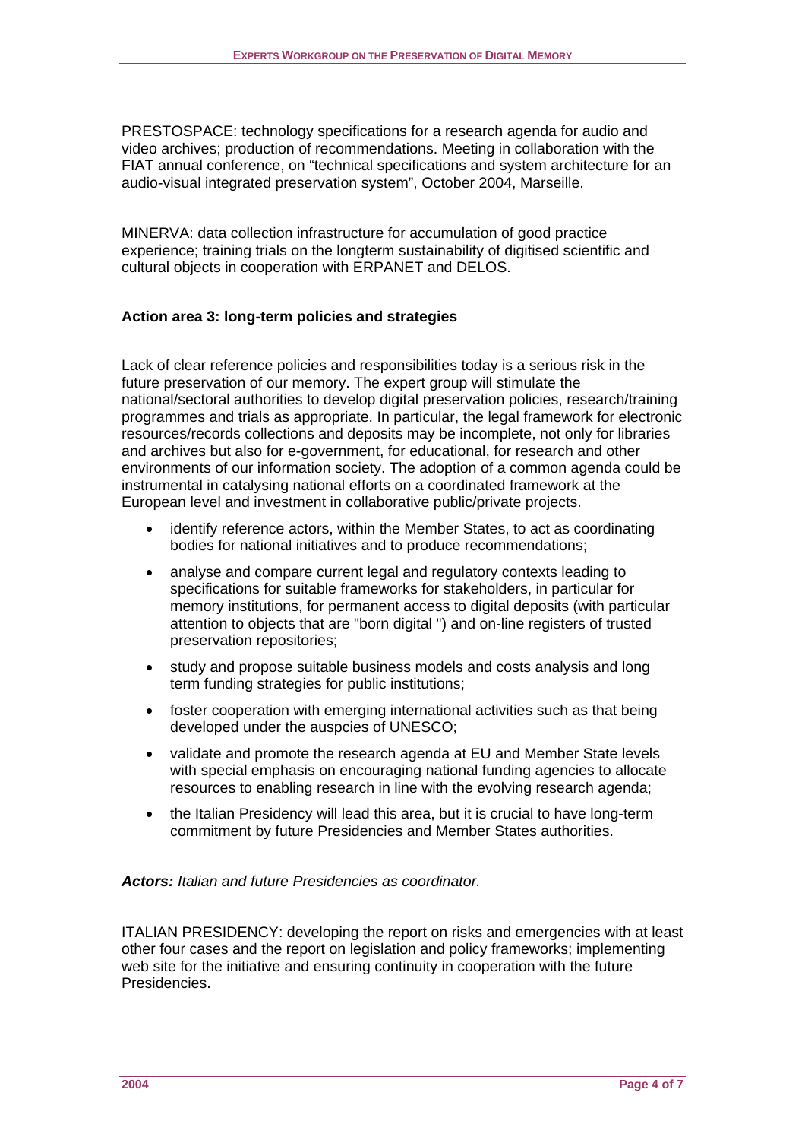<span id="page-3-0"></span>PRESTOSPACE: technology specifications for a research agenda for audio and video archives; production of recommendations. Meeting in collaboration with the FIAT annual conference, on "technical specifications and system architecture for an audio-visual integrated preservation system", October 2004, Marseille.

MINERVA: data collection infrastructure for accumulation of good practice experience; training trials on the longterm sustainability of digitised scientific and cultural objects in cooperation with ERPANET and DELOS.

# **Action area 3: long-term policies and strategies**

Lack of clear reference policies and responsibilities today is a serious risk in the future preservation of our memory. The expert group will stimulate the national/sectoral authorities to develop digital preservation policies, research/training programmes and trials as appropriate. In particular, the legal framework for electronic resources/records collections and deposits may be incomplete, not only for libraries and archives but also for e-government, for educational, for research and other environments of our information society. The adoption of a common agenda could be instrumental in catalysing national efforts on a coordinated framework at the European level and investment in collaborative public/private projects.

- identify reference actors, within the Member States, to act as coordinating bodies for national initiatives and to produce recommendations;
- analyse and compare current legal and regulatory contexts leading to specifications for suitable frameworks for stakeholders, in particular for memory institutions, for permanent access to digital deposits (with particular attention to objects that are "born digital ") and on-line registers of trusted preservation repositories;
- study and propose suitable business models and costs analysis and long term funding strategies for public institutions;
- foster cooperation with emerging international activities such as that being developed under the auspcies of UNESCO;
- validate and promote the research agenda at EU and Member State levels with special emphasis on encouraging national funding agencies to allocate resources to enabling research in line with the evolving research agenda;
- the Italian Presidency will lead this area, but it is crucial to have long-term commitment by future Presidencies and Member States authorities.

# *Actors: Italian and future Presidencies as coordinator.*

ITALIAN PRESIDENCY: developing the report on risks and emergencies with at least other four cases and the report on legislation and policy frameworks; implementing web site for the initiative and ensuring continuity in cooperation with the future Presidencies.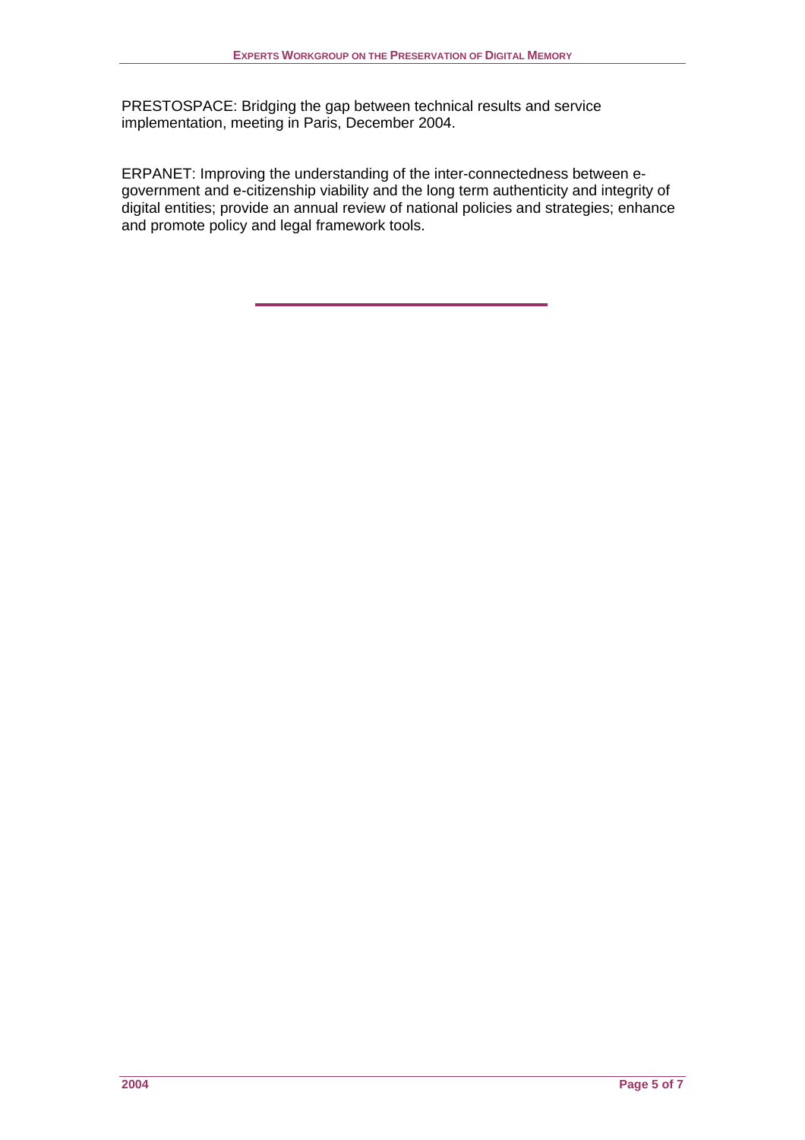PRESTOSPACE: Bridging the gap between technical results and service implementation, meeting in Paris, December 2004.

ERPANET: Improving the understanding of the inter-connectedness between egovernment and e-citizenship viability and the long term authenticity and integrity of digital entities; provide an annual review of national policies and strategies; enhance and promote policy and legal framework tools.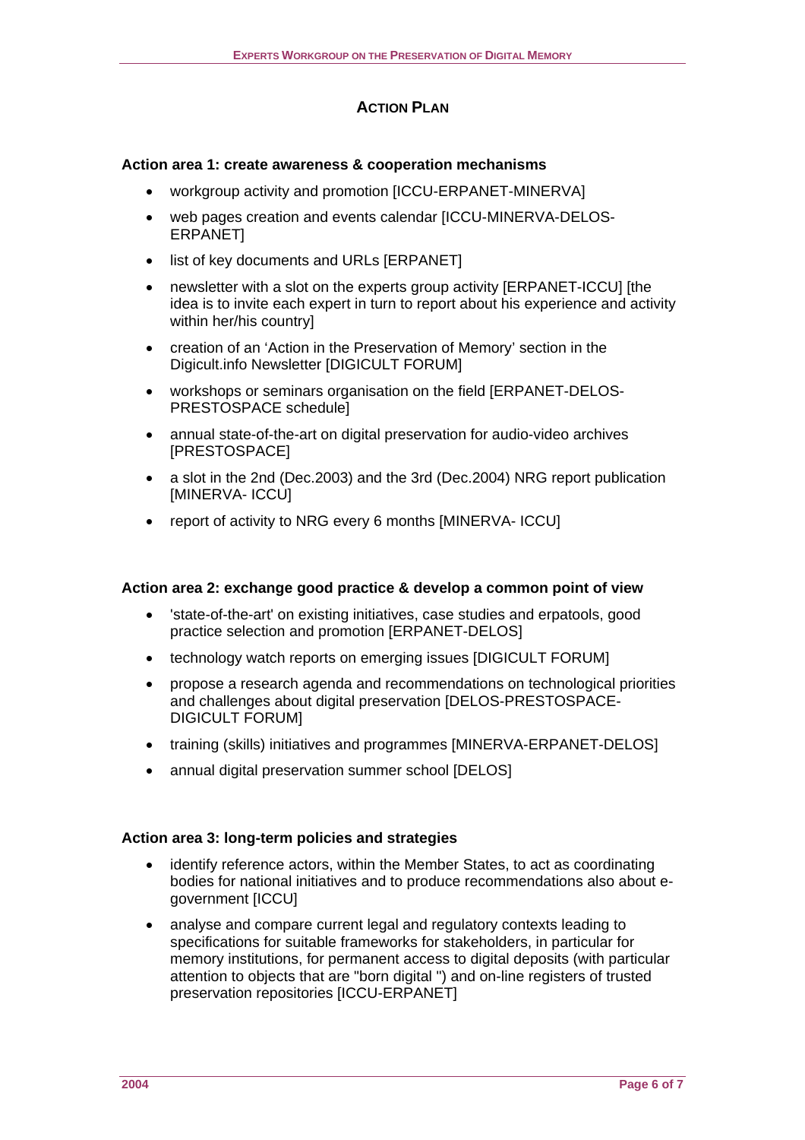# **ACTION PLAN**

#### <span id="page-5-0"></span>**Action area 1: create awareness & cooperation mechanisms**

- workgroup activity and promotion [ICCU-ERPANET-MINERVA]
- web pages creation and events calendar [ICCU-MINERVA-DELOS-**ERPANETI**
- list of key documents and URLs [ERPANET]
- newsletter with a slot on the experts group activity [ERPANET-ICCU] [the idea is to invite each expert in turn to report about his experience and activity within her/his country]
- creation of an 'Action in the Preservation of Memory' section in the Digicult.info Newsletter [DIGICULT FORUM]
- workshops or seminars organisation on the field [ERPANET-DELOS-PRESTOSPACE schedule]
- annual state-of-the-art on digital preservation for audio-video archives [PRESTOSPACE]
- a slot in the 2nd (Dec.2003) and the 3rd (Dec.2004) NRG report publication [MINERVA- ICCU]
- report of activity to NRG every 6 months IMINERVA-ICCUI

#### **Action area 2: exchange good practice & develop a common point of view**

- 'state-of-the-art' on existing initiatives, case studies and erpatools, good practice selection and promotion [ERPANET-DELOS]
- technology watch reports on emerging issues [DIGICULT FORUM]
- propose a research agenda and recommendations on technological priorities and challenges about digital preservation [DELOS-PRESTOSPACE-DIGICULT FORUM]
- training (skills) initiatives and programmes [MINERVA-ERPANET-DELOS]
- annual digital preservation summer school [DELOS]

#### **Action area 3: long-term policies and strategies**

- identify reference actors, within the Member States, to act as coordinating bodies for national initiatives and to produce recommendations also about egovernment [ICCU]
- analyse and compare current legal and regulatory contexts leading to specifications for suitable frameworks for stakeholders, in particular for memory institutions, for permanent access to digital deposits (with particular attention to objects that are "born digital ") and on-line registers of trusted preservation repositories [ICCU-ERPANET]